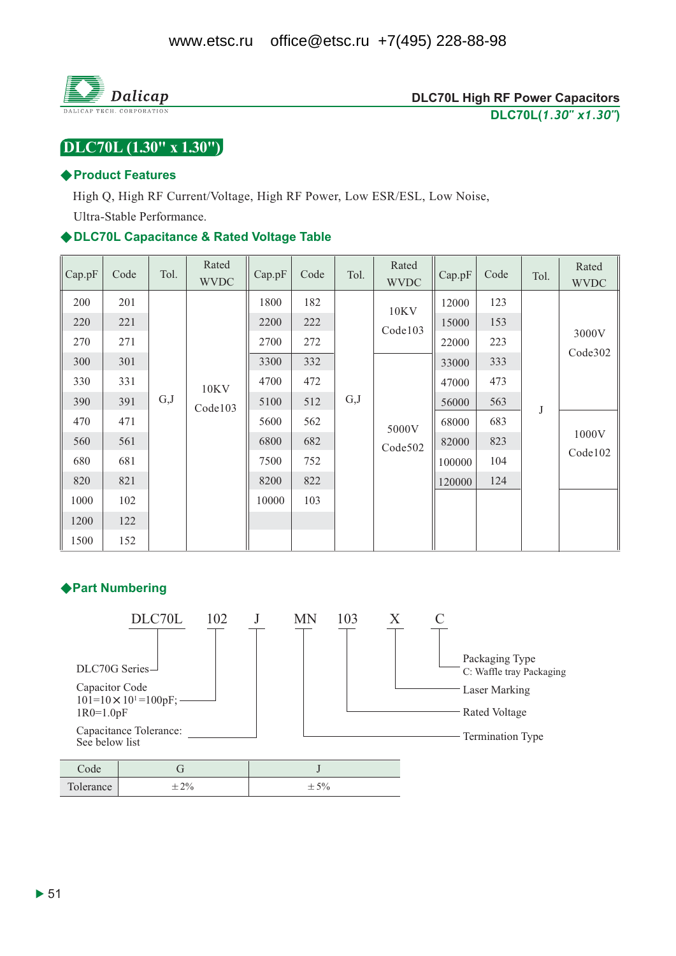

# DLC70L (1.30" x 1.30")

#### ♦ Product Features

High Q, High RF Current/Voltage, High RF Power, Low ESR/ESL, Low Noise,

Ultra-Stable Performance.

#### ◆DLC70L Capacitance & Rated Voltage Table

| Cap.pF | Code | Tol. | Rated<br><b>WVDC</b> | Cap.pF | Code | Tol. | Rated<br><b>WVDC</b>   | Cap.pF | Code | Tol. | Rated<br><b>WVDC</b> |
|--------|------|------|----------------------|--------|------|------|------------------------|--------|------|------|----------------------|
| 200    | 201  | G,J  |                      | 1800   | 182  |      | <b>10KV</b><br>Code103 | 12000  | 123  | J    | 3000V<br>Code302     |
| 220    | 221  |      |                      | 2200   | 222  |      |                        | 15000  | 153  |      |                      |
| 270    | 271  |      |                      | 2700   | 272  |      |                        | 22000  | 223  |      |                      |
| 300    | 301  |      | 10KV<br>Code103      | 3300   | 332  | G,J  |                        | 33000  | 333  |      |                      |
| 330    | 331  |      |                      | 4700   | 472  |      |                        | 47000  | 473  |      |                      |
| 390    | 391  |      |                      | 5100   | 512  |      | 5000V<br>Code502       | 56000  | 563  |      |                      |
| 470    | 471  |      |                      | 5600   | 562  |      |                        | 68000  | 683  |      | 1000V<br>Code102     |
| 560    | 561  |      |                      | 6800   | 682  |      |                        | 82000  | 823  |      |                      |
| 680    | 681  |      |                      | 7500   | 752  |      |                        | 100000 | 104  |      |                      |
| 820    | 821  |      |                      | 8200   | 822  |      |                        | 120000 | 124  |      |                      |
| 1000   | 102  |      |                      | 10000  | 103  |      |                        |        |      |      |                      |
| 1200   | 122  |      |                      |        |      |      |                        |        |      |      |                      |
| 1500   | 152  |      |                      |        |      |      |                        |        |      |      |                      |

#### ◆ Part Numbering

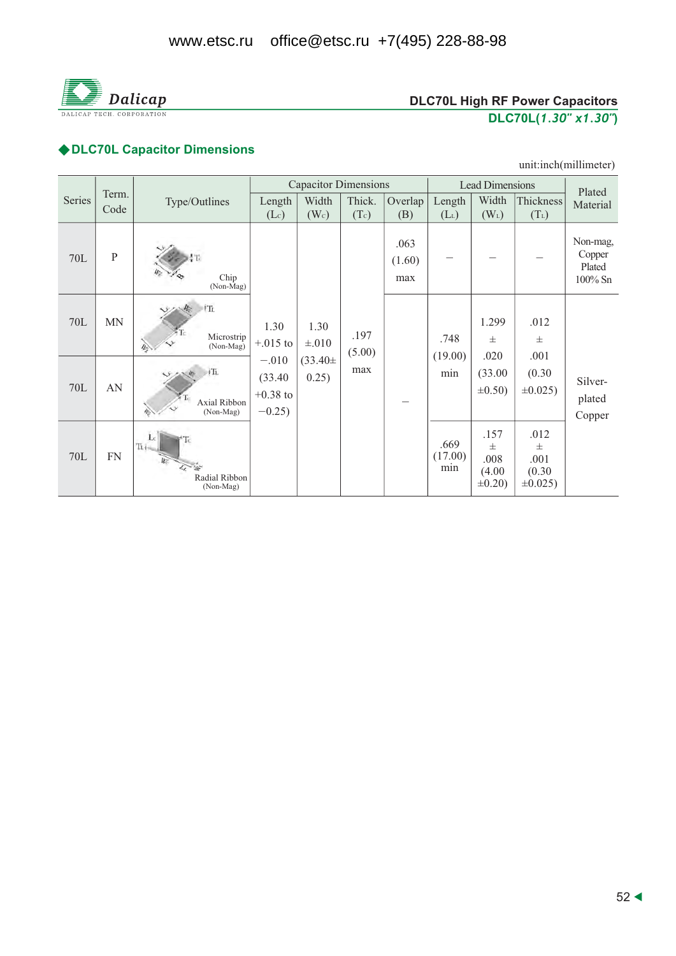

# **DLC70L High RF Power Capacitors** DLC70L(1.30" x1.30")

# ◆ DLC70L Capacitor Dimensions

#### unit:inch(millimeter)

|        |               |                                            | <b>Capacitor Dimensions</b>                                         |                                             |                       |                       | <b>Lead Dimensions</b> |                                             |                                                   | Plated                                     |
|--------|---------------|--------------------------------------------|---------------------------------------------------------------------|---------------------------------------------|-----------------------|-----------------------|------------------------|---------------------------------------------|---------------------------------------------------|--------------------------------------------|
| Series | Term.<br>Code | Type/Outlines                              | Length<br>(Lc)                                                      | Width<br>(W <sub>c</sub> )                  | Thick.<br>(Tc)        | Overlap<br>(B)        | Length<br>$(L_L)$      | Width<br>$(W_L)$                            | Thickness<br>$(T_L)$                              | Material                                   |
| 70L    | $\mathbf P$   | Chip<br>(Non-Mag)                          | 1.30<br>$+.015$ to<br>$-.010$<br>(33.40)<br>$+0.38$ to<br>$-0.25$ ) | 1.30<br>$\pm .010$<br>$(33.40 \pm$<br>0.25) | .197<br>(5.00)<br>max | .063<br>(1.60)<br>max |                        |                                             |                                                   | Non-mag,<br>Copper<br>Plated<br>$100\%$ Sn |
| 70L    | <b>MN</b>     | <sup>i</sup> Ti<br>Microstrip<br>(Non-Mag) |                                                                     |                                             |                       |                       | .748                   | 1.299<br>$\pm$                              | .012<br>$_{\pm}$<br>.001<br>(0.30)<br>$\pm 0.025$ |                                            |
| 70L    | AN            | +Ti<br>Axial Ribbon<br>(Non-Mag)           |                                                                     |                                             |                       |                       | (19.00)<br>min         | .020<br>(33.00)<br>$\pm 0.50$ )             |                                                   | Silver-<br>plated<br>Copper                |
| 70L    | <b>FN</b>     | Ti.<br>Radial Ribbon<br>(Non-Mag)          |                                                                     |                                             |                       |                       | .669<br>(17.00)<br>min | .157<br>士<br>.008<br>(4.00)<br>$\pm 0.20$ ) | .012<br>士<br>.001<br>(0.30)<br>$\pm 0.025$ )      |                                            |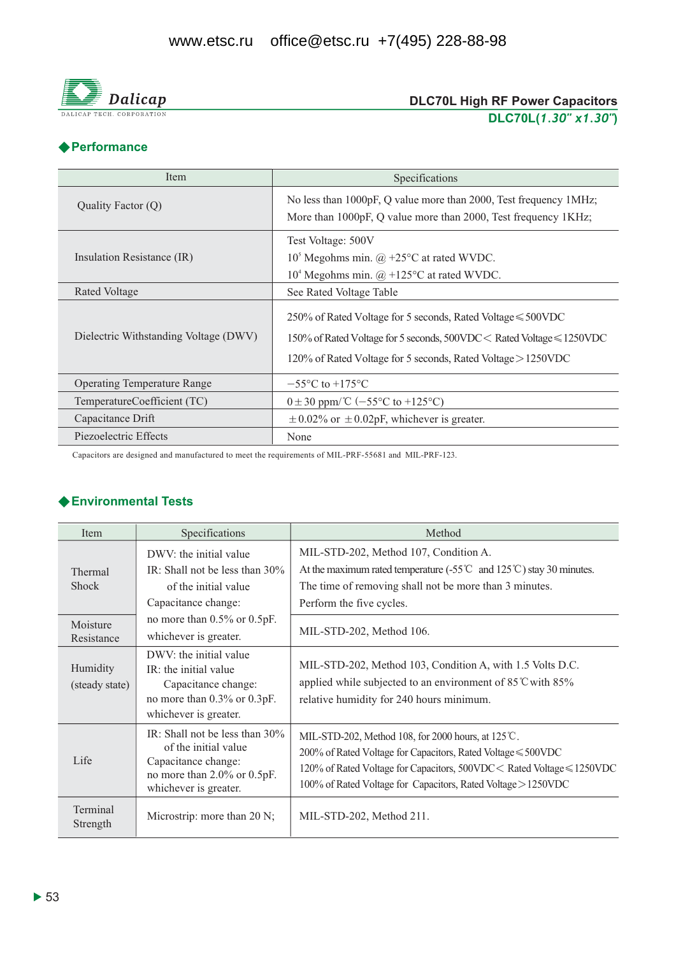

# DLC70L High RF Power Capacitors<br>DLC70L(1.30" x1.30")

# **◆ Performance**

| Item                                  | Specifications                                                                                                                                                                                             |
|---------------------------------------|------------------------------------------------------------------------------------------------------------------------------------------------------------------------------------------------------------|
| Quality Factor (Q)                    | No less than 1000pF, Q value more than 2000, Test frequency 1MHz;<br>More than 1000pF, Q value more than 2000, Test frequency 1KHz;                                                                        |
| Insulation Resistance (IR)            | Test Voltage: 500V<br>$105$ Megohms min. @ +25°C at rated WVDC.<br>$104$ Megohms min. @ +125°C at rated WVDC.                                                                                              |
| Rated Voltage                         | See Rated Voltage Table                                                                                                                                                                                    |
| Dielectric Withstanding Voltage (DWV) | 250% of Rated Voltage for 5 seconds, Rated Voltage $\leq 500$ VDC<br>150% of Rated Voltage for 5 seconds, 500VDC < Rated Voltage ≤ 1250VDC<br>120% of Rated Voltage for 5 seconds, Rated Voltage > 1250VDC |
| <b>Operating Temperature Range</b>    | $-55^{\circ}$ C to $+175^{\circ}$ C                                                                                                                                                                        |
| TemperatureCoefficient (TC)           | $0 \pm 30$ ppm/°C (-55°C to +125°C)                                                                                                                                                                        |
| Capacitance Drift                     | $\pm$ 0.02% or $\pm$ 0.02pF, whichever is greater.                                                                                                                                                         |
| Piezoelectric Effects                 | None                                                                                                                                                                                                       |

Capacitors are designed and manufactured to meet the requirements of MIL-PRF-55681 and MIL-PRF-123.

#### ◆ Environmental Tests

| Item                       | Specifications                                                                                                                           | Method                                                                                                                                                                                                                                                                  |
|----------------------------|------------------------------------------------------------------------------------------------------------------------------------------|-------------------------------------------------------------------------------------------------------------------------------------------------------------------------------------------------------------------------------------------------------------------------|
| Thermal<br><b>Shock</b>    | DWV: the initial value<br>IR: Shall not be less than $30\%$<br>of the initial value<br>Capacitance change:                               | MIL-STD-202, Method 107, Condition A.<br>At the maximum rated temperature $(.55^{\circ}\text{C}$ and $125^{\circ}\text{C}$ ) stay 30 minutes.<br>The time of removing shall not be more than 3 minutes.<br>Perform the five cycles.                                     |
| Moisture<br>Resistance     | no more than $0.5\%$ or $0.5pF$ .<br>whichever is greater.                                                                               | MIL-STD-202, Method 106.                                                                                                                                                                                                                                                |
| Humidity<br>(steady state) | DWV: the initial value<br>IR: the initial value<br>Capacitance change:<br>no more than 0.3% or 0.3pF.<br>whichever is greater.           | MIL-STD-202, Method 103, Condition A, with 1.5 Volts D.C.<br>applied while subjected to an environment of $85^{\circ}$ C with $85\%$<br>relative humidity for 240 hours minimum.                                                                                        |
| Life                       | IR: Shall not be less than $30\%$<br>of the initial value<br>Capacitance change:<br>no more than 2.0% or 0.5pF.<br>whichever is greater. | MIL-STD-202, Method 108, for 2000 hours, at $125^{\circ}$ C.<br>200% of Rated Voltage for Capacitors, Rated Voltage ≤ 500VDC<br>120% of Rated Voltage for Capacitors, 500VDC < Rated Voltage ≤ 1250VDC<br>100% of Rated Voltage for Capacitors, Rated Voltage > 1250VDC |
| Terminal<br>Strength       | Microstrip: more than 20 N;                                                                                                              | MIL-STD-202, Method 211.                                                                                                                                                                                                                                                |